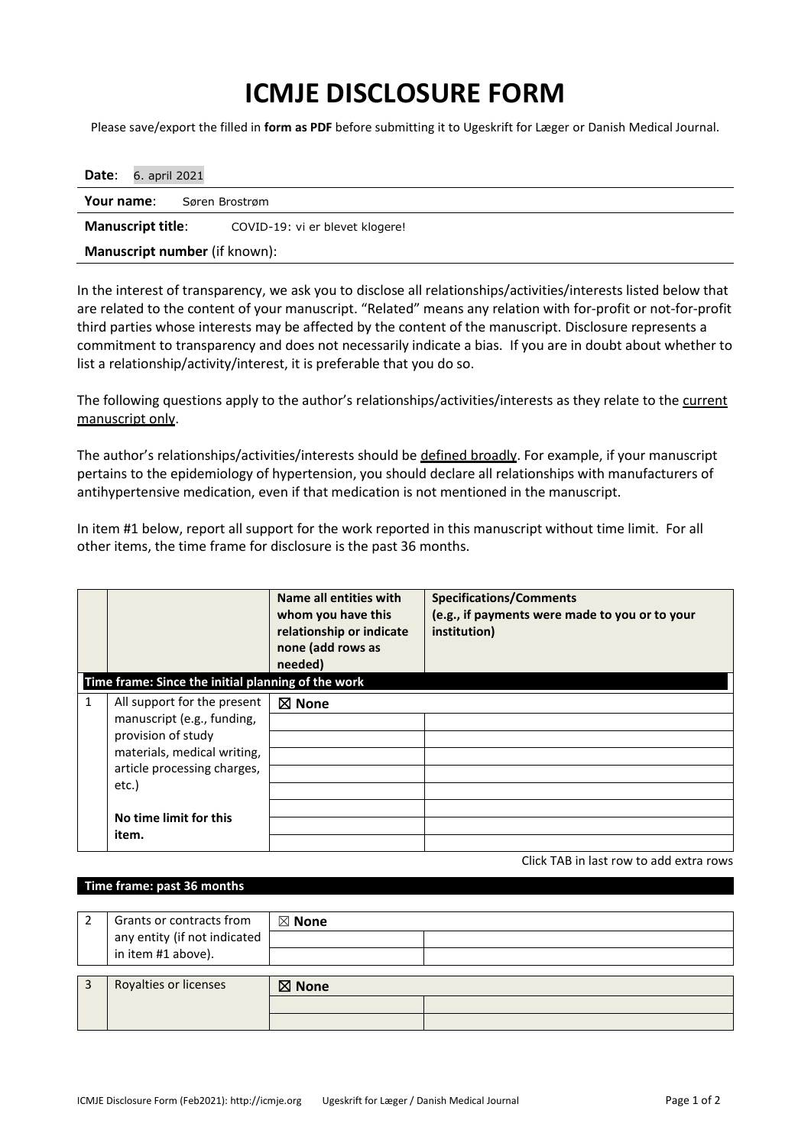## **ICMJE DISCLOSURE FORM**

Please save/export the filled in **form as PDF** before submitting it to Ugeskrift for Læger or Danish Medical Journal.

| Date:<br>6. april 2021               |                                 |  |  |  |  |
|--------------------------------------|---------------------------------|--|--|--|--|
| Your name:<br>Søren Brostrøm         |                                 |  |  |  |  |
| <b>Manuscript title:</b>             | COVID-19: vi er blevet klogere! |  |  |  |  |
| <b>Manuscript number</b> (if known): |                                 |  |  |  |  |

In the interest of transparency, we ask you to disclose all relationships/activities/interests listed below that are related to the content of your manuscript. "Related" means any relation with for-profit or not-for-profit third parties whose interests may be affected by the content of the manuscript. Disclosure represents a commitment to transparency and does not necessarily indicate a bias. If you are in doubt about whether to list a relationship/activity/interest, it is preferable that you do so.

The following questions apply to the author's relationships/activities/interests as they relate to the current manuscript only.

The author's relationships/activities/interests should be defined broadly. For example, if your manuscript pertains to the epidemiology of hypertension, you should declare all relationships with manufacturers of antihypertensive medication, even if that medication is not mentioned in the manuscript.

In item #1 below, report all support for the work reported in this manuscript without time limit. For all other items, the time frame for disclosure is the past 36 months.

| Time frame: Since the initial planning of the work                                                                                                                                             | Name all entities with<br>whom you have this<br>relationship or indicate<br>none (add rows as<br>needed) | <b>Specifications/Comments</b><br>(e.g., if payments were made to you or to your<br>institution) |
|------------------------------------------------------------------------------------------------------------------------------------------------------------------------------------------------|----------------------------------------------------------------------------------------------------------|--------------------------------------------------------------------------------------------------|
| 1<br>All support for the present<br>manuscript (e.g., funding,<br>provision of study<br>materials, medical writing,<br>article processing charges,<br>etc.)<br>No time limit for this<br>item. | $\boxtimes$ None                                                                                         |                                                                                                  |

Click TAB in last row to add extra rows

## **Time frame: past 36 months**

| Grants or contracts from     | $\boxtimes$ None |  |  |  |
|------------------------------|------------------|--|--|--|
| any entity (if not indicated |                  |  |  |  |
| in item #1 above).           |                  |  |  |  |
|                              |                  |  |  |  |
| Royalties or licenses        | $\boxtimes$ None |  |  |  |
|                              |                  |  |  |  |
|                              |                  |  |  |  |